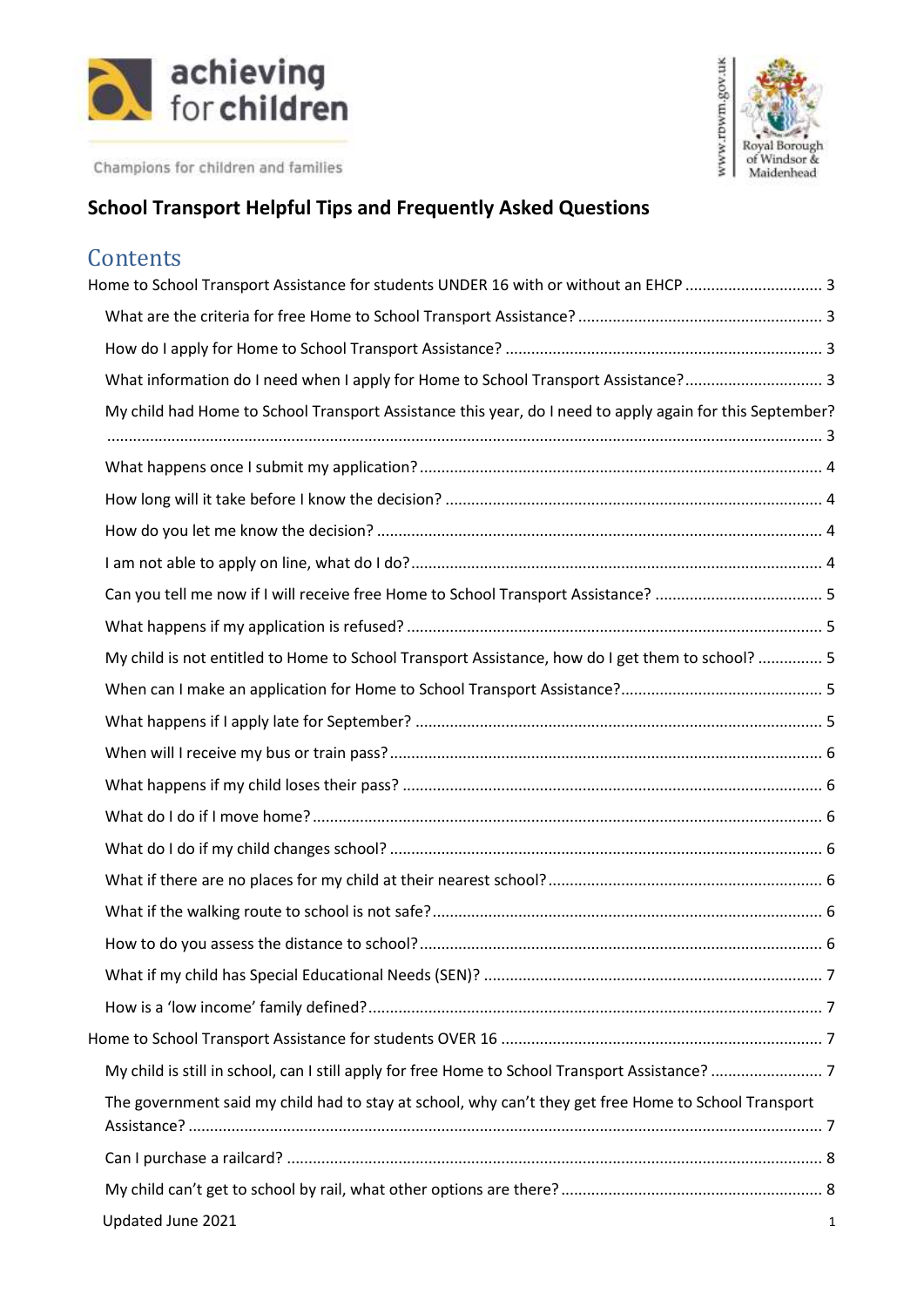



# **School Transport Helpful Tips and Frequently Asked Questions**

# **Contents**

| Home to School Transport Assistance for students UNDER 16 with or without an EHCP  3                     |   |
|----------------------------------------------------------------------------------------------------------|---|
|                                                                                                          |   |
|                                                                                                          |   |
| What information do I need when I apply for Home to School Transport Assistance? 3                       |   |
| My child had Home to School Transport Assistance this year, do I need to apply again for this September? |   |
|                                                                                                          |   |
|                                                                                                          |   |
|                                                                                                          |   |
|                                                                                                          |   |
|                                                                                                          |   |
|                                                                                                          |   |
| My child is not entitled to Home to School Transport Assistance, how do I get them to school?  5         |   |
|                                                                                                          |   |
|                                                                                                          |   |
|                                                                                                          |   |
|                                                                                                          |   |
|                                                                                                          |   |
|                                                                                                          |   |
|                                                                                                          |   |
|                                                                                                          |   |
|                                                                                                          |   |
|                                                                                                          |   |
|                                                                                                          |   |
|                                                                                                          |   |
|                                                                                                          |   |
| The government said my child had to stay at school, why can't they get free Home to School Transport     |   |
|                                                                                                          |   |
|                                                                                                          |   |
| Updated June 2021                                                                                        | 1 |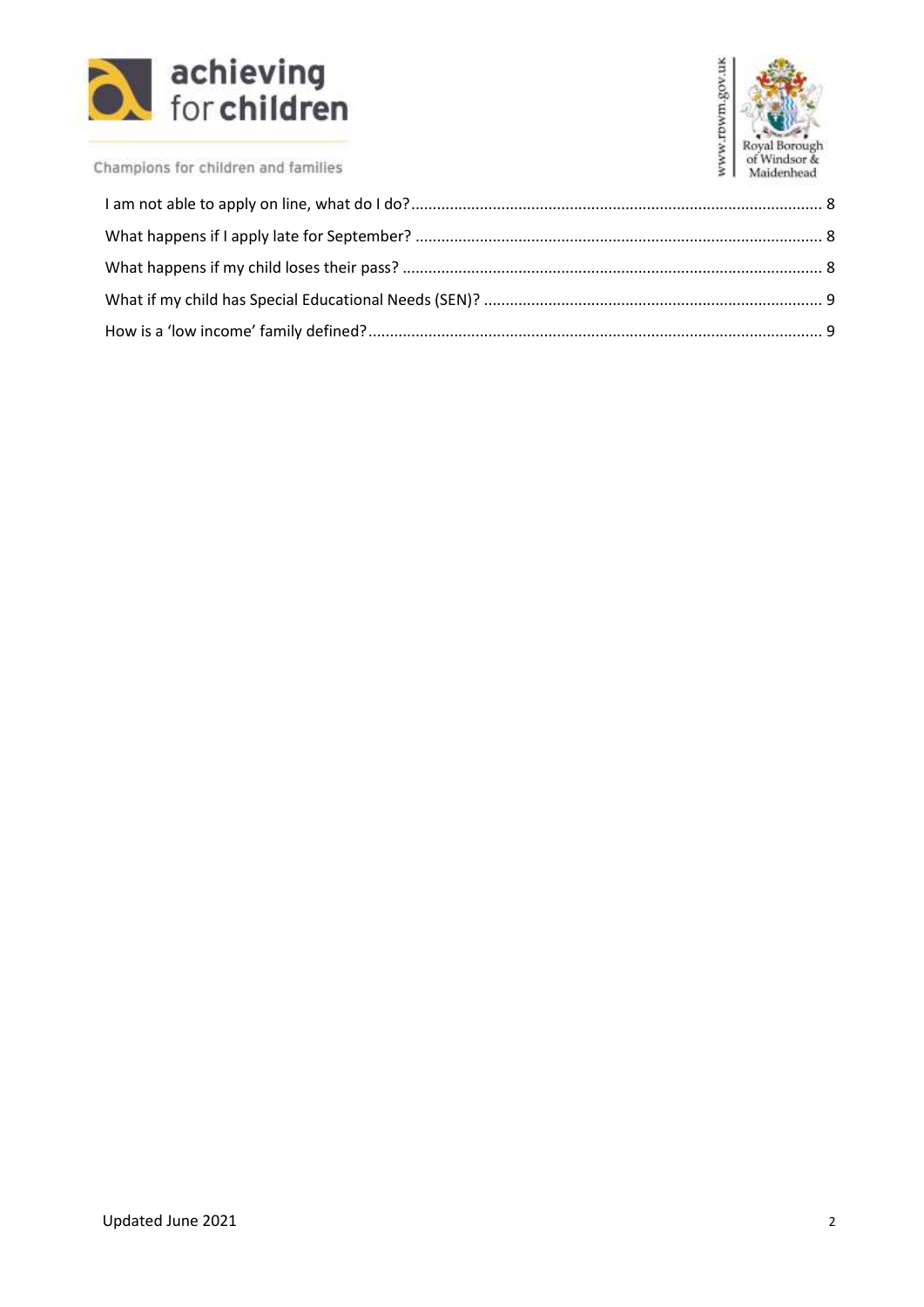



<span id="page-1-0"></span>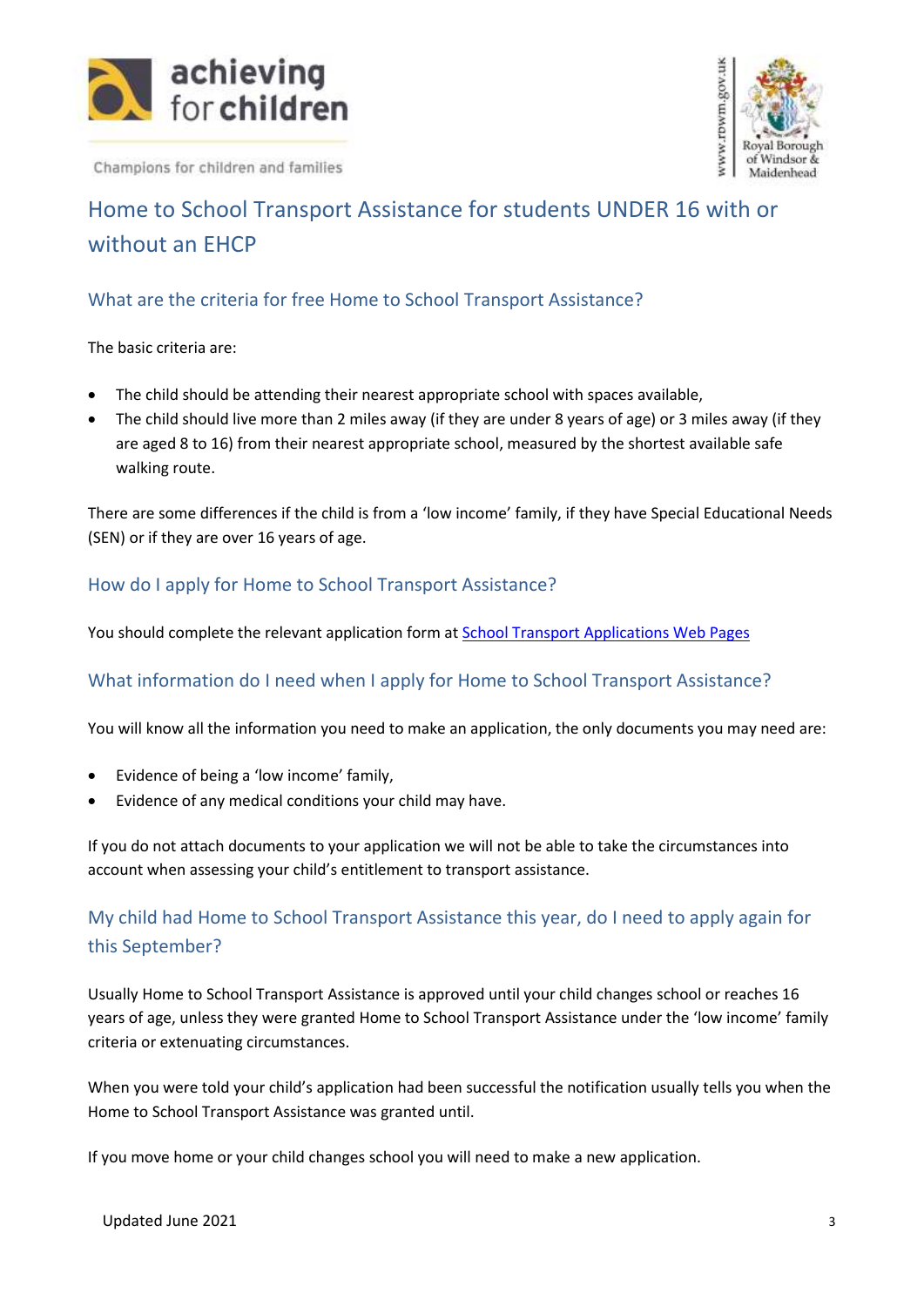



# Home to School Transport Assistance for students UNDER 16 with or without an EHCP

# <span id="page-2-0"></span>What are the criteria for free Home to School Transport Assistance?

The basic criteria are:

- The child should be attending their nearest appropriate school with spaces available,
- The child should live more than 2 miles away (if they are under 8 years of age) or 3 miles away (if they are aged 8 to 16) from their nearest appropriate school, measured by the shortest available safe walking route.

There are some differences if the child is from a 'low income' family, if they have Special Educational Needs (SEN) or if they are over 16 years of age.

# <span id="page-2-1"></span>How do I apply for Home to School Transport Assistance?

You should complete the relevant application form at **School Transport Applications Web Pages** 

#### <span id="page-2-2"></span>What information do I need when I apply for Home to School Transport Assistance?

You will know all the information you need to make an application, the only documents you may need are:

- Evidence of being a 'low income' family,
- Evidence of any medical conditions your child may have.

If you do not attach documents to your application we will not be able to take the circumstances into account when assessing your child's entitlement to transport assistance.

# <span id="page-2-3"></span>My child had Home to School Transport Assistance this year, do I need to apply again for this September?

Usually Home to School Transport Assistance is approved until your child changes school or reaches 16 years of age, unless they were granted Home to School Transport Assistance under the 'low income' family criteria or extenuating circumstances.

When you were told your child's application had been successful the notification usually tells you when the Home to School Transport Assistance was granted until.

If you move home or your child changes school you will need to make a new application.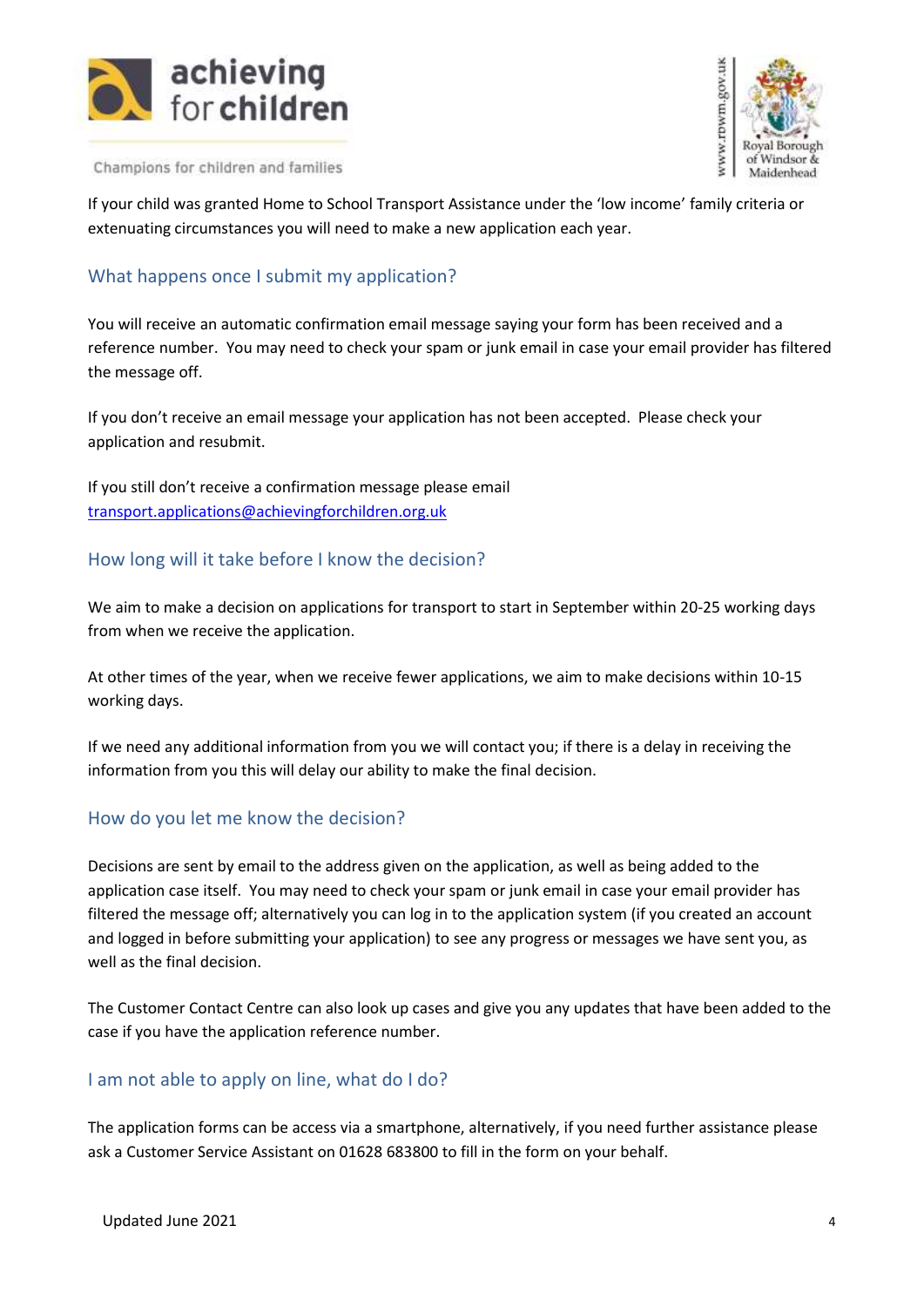



If your child was granted Home to School Transport Assistance under the 'low income' family criteria or extenuating circumstances you will need to make a new application each year.

### <span id="page-3-0"></span>What happens once I submit my application?

You will receive an automatic confirmation email message saying your form has been received and a reference number. You may need to check your spam or junk email in case your email provider has filtered the message off.

If you don't receive an email message your application has not been accepted. Please check your application and resubmit.

If you still don't receive a confirmation message please email [transport.applications@achievingforchildren.org.uk](mailto:transport.applications@achievingforchildren.org.uk)

# <span id="page-3-1"></span>How long will it take before I know the decision?

We aim to make a decision on applications for transport to start in September within 20-25 working days from when we receive the application.

At other times of the year, when we receive fewer applications, we aim to make decisions within 10-15 working days.

If we need any additional information from you we will contact you; if there is a delay in receiving the information from you this will delay our ability to make the final decision.

#### <span id="page-3-2"></span>How do you let me know the decision?

Decisions are sent by email to the address given on the application, as well as being added to the application case itself. You may need to check your spam or junk email in case your email provider has filtered the message off; alternatively you can log in to the application system (if you created an account and logged in before submitting your application) to see any progress or messages we have sent you, as well as the final decision.

The Customer Contact Centre can also look up cases and give you any updates that have been added to the case if you have the application reference number.

#### <span id="page-3-3"></span>I am not able to apply on line, what do I do?

The application forms can be access via a smartphone, alternatively, if you need further assistance please ask a Customer Service Assistant on 01628 683800 to fill in the form on your behalf.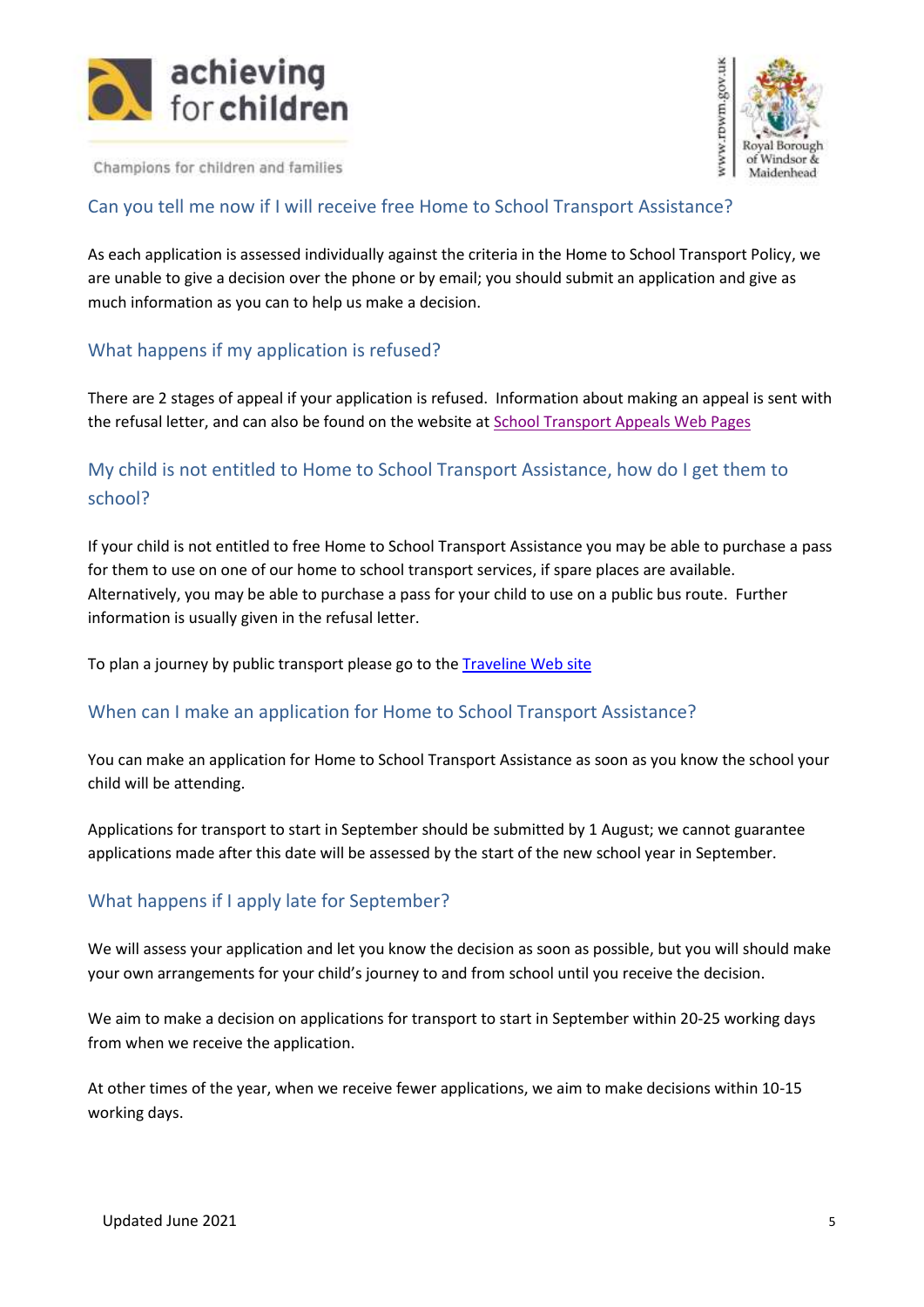



#### <span id="page-4-0"></span>Can you tell me now if I will receive free Home to School Transport Assistance?

As each application is assessed individually against the criteria in the Home to School Transport Policy, we are unable to give a decision over the phone or by email; you should submit an application and give as much information as you can to help us make a decision.

# <span id="page-4-1"></span>What happens if my application is refused?

There are 2 stages of appeal if your application is refused. Information about making an appeal is sent with the refusal letter, and can also be found on the website at [School Transport Appeals Web Pages](https://www.rbwm.gov.uk/home/schools-and-education/school-transport/school-transport-appeals)

# <span id="page-4-2"></span>My child is not entitled to Home to School Transport Assistance, how do I get them to school?

If your child is not entitled to free Home to School Transport Assistance you may be able to purchase a pass for them to use on one of our home to school transport services, if spare places are available. Alternatively, you may be able to purchase a pass for your child to use on a public bus route. Further information is usually given in the refusal letter.

To plan a journey by public transport please go to the [Traveline Web site](https://www.traveline.info/)

#### <span id="page-4-3"></span>When can I make an application for Home to School Transport Assistance?

You can make an application for Home to School Transport Assistance as soon as you know the school your child will be attending.

Applications for transport to start in September should be submitted by 1 August; we cannot guarantee applications made after this date will be assessed by the start of the new school year in September.

#### <span id="page-4-4"></span>What happens if I apply late for September?

We will assess your application and let you know the decision as soon as possible, but you will should make your own arrangements for your child's journey to and from school until you receive the decision.

We aim to make a decision on applications for transport to start in September within 20-25 working days from when we receive the application.

At other times of the year, when we receive fewer applications, we aim to make decisions within 10-15 working days.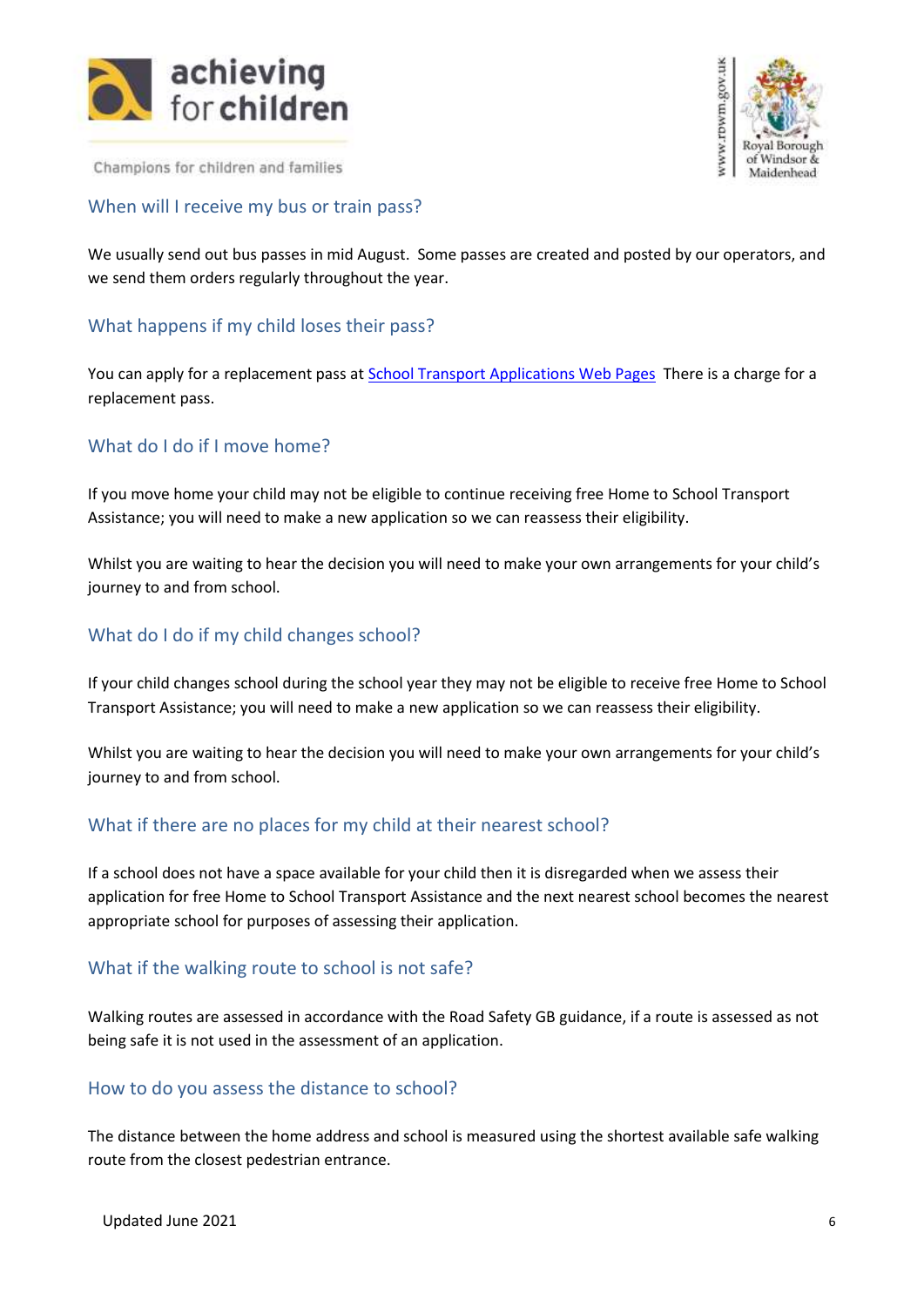



#### <span id="page-5-0"></span>When will I receive my bus or train pass?

We usually send out bus passes in mid August. Some passes are created and posted by our operators, and we send them orders regularly throughout the year.

#### <span id="page-5-1"></span>What happens if my child loses their pass?

You can apply for a replacement pass at [School Transport Applications Web Pages](https://www.rbwm.gov.uk/home/schools-and-education/school-transport) There is a charge for a replacement pass.

#### <span id="page-5-2"></span>What do I do if I move home?

If you move home your child may not be eligible to continue receiving free Home to School Transport Assistance; you will need to make a new application so we can reassess their eligibility.

Whilst you are waiting to hear the decision you will need to make your own arrangements for your child's journey to and from school.

#### <span id="page-5-3"></span>What do I do if my child changes school?

If your child changes school during the school year they may not be eligible to receive free Home to School Transport Assistance; you will need to make a new application so we can reassess their eligibility.

Whilst you are waiting to hear the decision you will need to make your own arrangements for your child's journey to and from school.

#### <span id="page-5-4"></span>What if there are no places for my child at their nearest school?

If a school does not have a space available for your child then it is disregarded when we assess their application for free Home to School Transport Assistance and the next nearest school becomes the nearest appropriate school for purposes of assessing their application.

#### <span id="page-5-5"></span>What if the walking route to school is not safe?

Walking routes are assessed in accordance with the Road Safety GB guidance, if a route is assessed as not being safe it is not used in the assessment of an application.

#### <span id="page-5-6"></span>How to do you assess the distance to school?

The distance between the home address and school is measured using the shortest available safe walking route from the closest pedestrian entrance.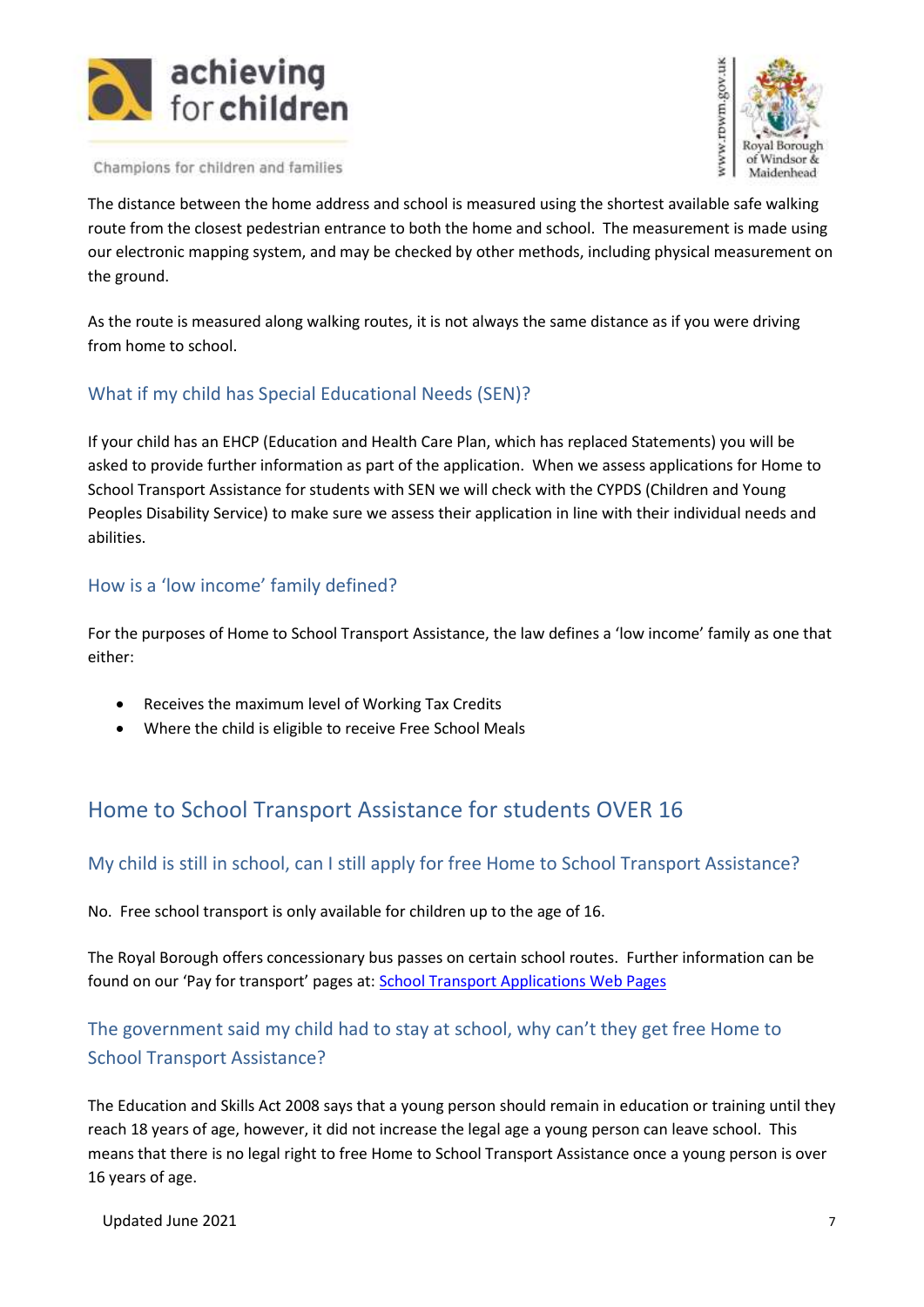



The distance between the home address and school is measured using the shortest available safe walking route from the closest pedestrian entrance to both the home and school. The measurement is made using our electronic mapping system, and may be checked by other methods, including physical measurement on the ground.

As the route is measured along walking routes, it is not always the same distance as if you were driving from home to school.

# <span id="page-6-0"></span>What if my child has Special Educational Needs (SEN)?

If your child has an EHCP (Education and Health Care Plan, which has replaced Statements) you will be asked to provide further information as part of the application. When we assess applications for Home to School Transport Assistance for students with SEN we will check with the CYPDS (Children and Young Peoples Disability Service) to make sure we assess their application in line with their individual needs and abilities.

# <span id="page-6-1"></span>How is a 'low income' family defined?

For the purposes of Home to School Transport Assistance, the law defines a 'low income' family as one that either:

- Receives the maximum level of Working Tax Credits
- Where the child is eligible to receive Free School Meals

# <span id="page-6-2"></span>Home to School Transport Assistance for students OVER 16

#### <span id="page-6-3"></span>My child is still in school, can I still apply for free Home to School Transport Assistance?

No. Free school transport is only available for children up to the age of 16.

The Royal Borough offers concessionary bus passes on certain school routes. Further information can be found on our 'Pay for transport' pages at: [School Transport Applications Web Pages](https://www.rbwm.gov.uk/home/schools-and-education/school-transport)

# <span id="page-6-4"></span>The government said my child had to stay at school, why can't they get free Home to School Transport Assistance?

The Education and Skills Act 2008 says that a young person should remain in education or training until they reach 18 years of age, however, it did not increase the legal age a young person can leave school. This means that there is no legal right to free Home to School Transport Assistance once a young person is over 16 years of age.

Updated June 2021 7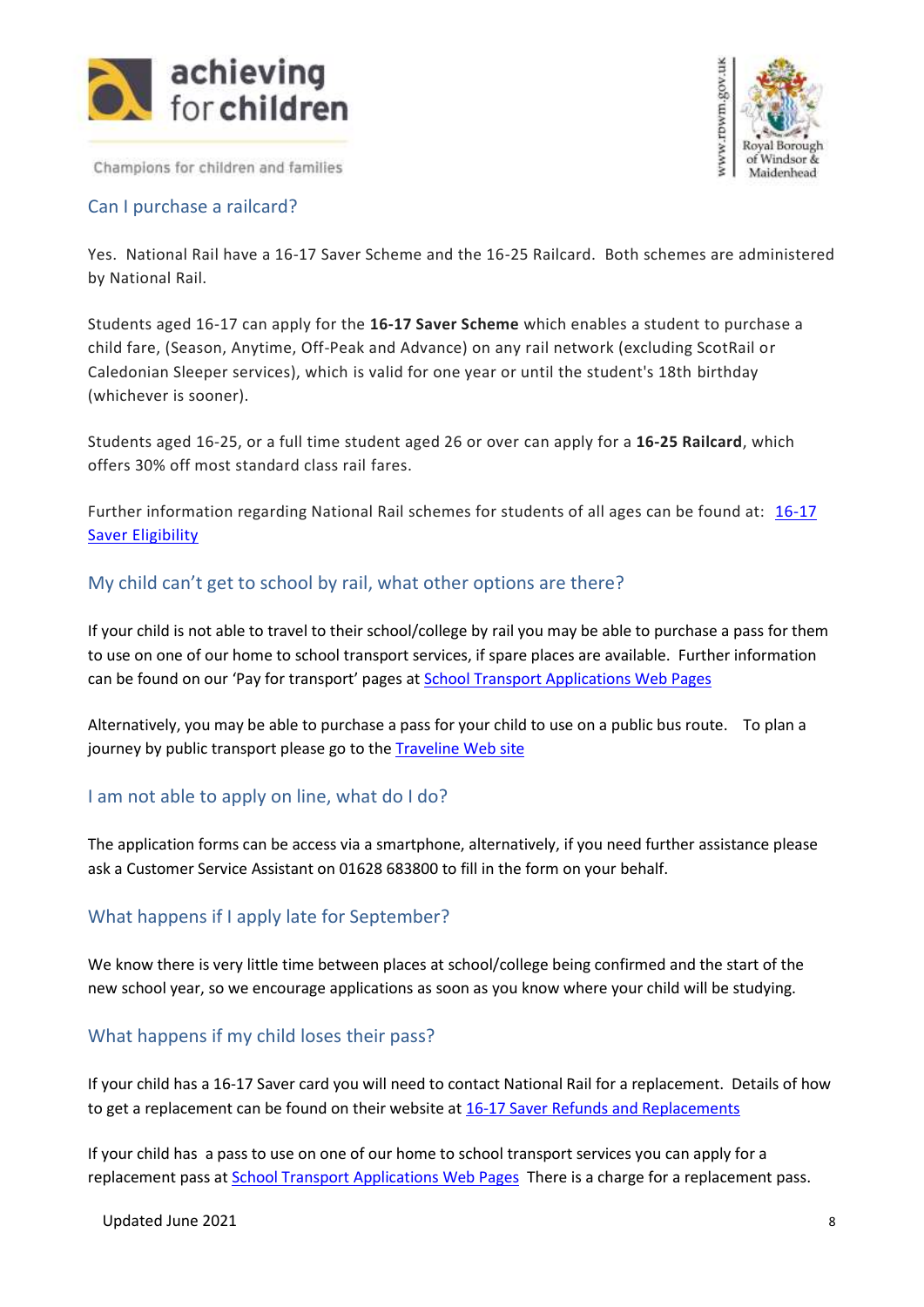



#### <span id="page-7-0"></span>Can I purchase a railcard?

Yes. National Rail have a 16-17 Saver Scheme and the 16-25 Railcard. Both schemes are administered by National Rail.

Students aged 16-17 can apply for the **16-17 Saver Scheme** which enables a student to purchase a child fare, (Season, Anytime, Off-Peak and Advance) on any rail network (excluding ScotRail or Caledonian Sleeper services), which is valid for one year or until the student's 18th birthday (whichever is sooner).

Students aged 16-25, or a full time student aged 26 or over can apply for a **16-25 Railcard**, which offers 30% off most standard class rail fares.

Further information regarding National Rail schemes for students of all ages can be found at: [16-17](https://www.16-17saver.co.uk/are-you-eligible/)  [Saver Eligibility](https://www.16-17saver.co.uk/are-you-eligible/)

#### <span id="page-7-1"></span>My child can't get to school by rail, what other options are there?

If your child is not able to travel to their school/college by rail you may be able to purchase a pass for them to use on one of our home to school transport services, if spare places are available. Further information can be found on our 'Pay for transport' pages at School [Transport Applications Web Pages](https://www.rbwm.gov.uk/home/schools-and-education/school-transport)

Alternatively, you may be able to purchase a pass for your child to use on a public bus route. To plan a journey by public transport please go to the [Traveline Web site](https://www.traveline.info/)

#### <span id="page-7-2"></span>I am not able to apply on line, what do I do?

The application forms can be access via a smartphone, alternatively, if you need further assistance please ask a Customer Service Assistant on 01628 683800 to fill in the form on your behalf.

#### <span id="page-7-3"></span>What happens if I apply late for September?

We know there is very little time between places at school/college being confirmed and the start of the new school year, so we encourage applications as soon as you know where your child will be studying.

# <span id="page-7-4"></span>What happens if my child loses their pass?

If your child has a 16-17 Saver card you will need to contact National Rail for a replacement. Details of how to get a replacement can be found on their website at [16-17 Saver Refunds and Replacements](http://www.16-17saver.co.uk/help/faqs/refunds-replacements/)

If your child has a pass to use on one of our home to school transport services you can apply for a replacement pass at [School Transport Applications Web Pages](https://www.rbwm.gov.uk/home/schools-and-education/school-transport) There is a charge for a replacement pass.